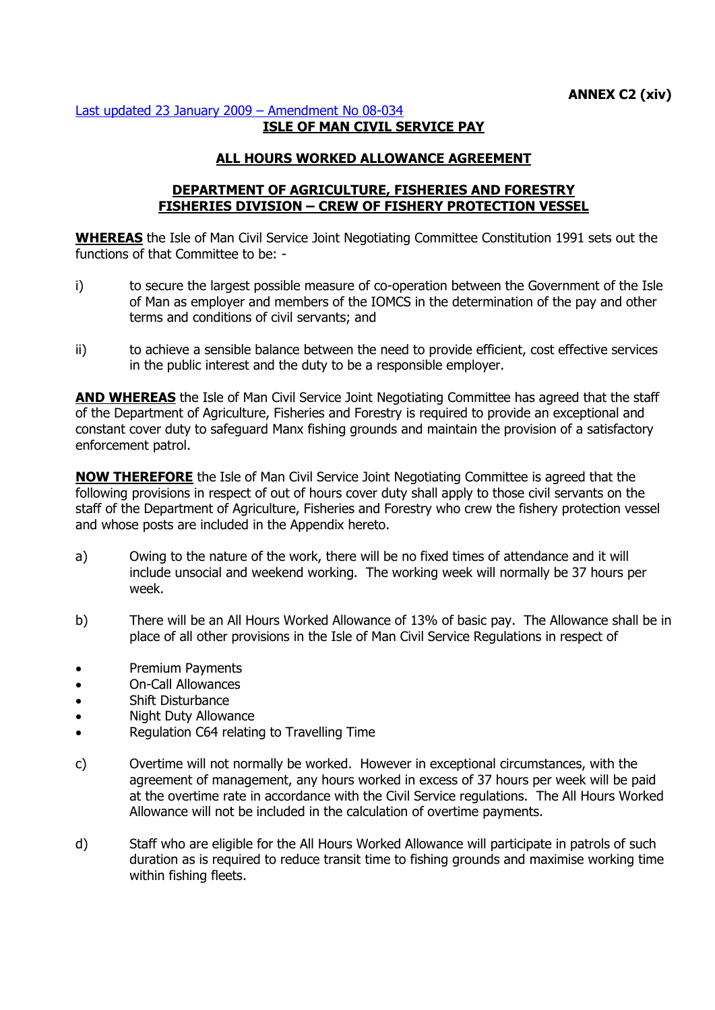## [Last updated 23 January 2009](http://gov.im/lib/docs/personnel/iomcs/Amendments_CS_Regs/08034.pdf) – Amendment No 08-034 **ISLE OF MAN CIVIL SERVICE PAY**

## **ALL HOURS WORKED ALLOWANCE AGREEMENT**

## **DEPARTMENT OF AGRICULTURE, FISHERIES AND FORESTRY FISHERIES DIVISION – CREW OF FISHERY PROTECTION VESSEL**

**WHEREAS** the Isle of Man Civil Service Joint Negotiating Committee Constitution 1991 sets out the functions of that Committee to be: -

- i) to secure the largest possible measure of co-operation between the Government of the Isle of Man as employer and members of the IOMCS in the determination of the pay and other terms and conditions of civil servants; and
- ii) to achieve a sensible balance between the need to provide efficient, cost effective services in the public interest and the duty to be a responsible employer.

**AND WHEREAS** the Isle of Man Civil Service Joint Negotiating Committee has agreed that the staff of the Department of Agriculture, Fisheries and Forestry is required to provide an exceptional and constant cover duty to safeguard Manx fishing grounds and maintain the provision of a satisfactory enforcement patrol.

**NOW THEREFORE** the Isle of Man Civil Service Joint Negotiating Committee is agreed that the following provisions in respect of out of hours cover duty shall apply to those civil servants on the staff of the Department of Agriculture, Fisheries and Forestry who crew the fishery protection vessel and whose posts are included in the Appendix hereto.

- a) Owing to the nature of the work, there will be no fixed times of attendance and it will include unsocial and weekend working. The working week will normally be 37 hours per week.
- b) There will be an All Hours Worked Allowance of 13% of basic pay. The Allowance shall be in place of all other provisions in the Isle of Man Civil Service Regulations in respect of
- Premium Payments
- On-Call Allowances
- Shift Disturbance
- Night Duty Allowance
- Regulation C64 relating to Travelling Time
- c) Overtime will not normally be worked. However in exceptional circumstances, with the agreement of management, any hours worked in excess of 37 hours per week will be paid at the overtime rate in accordance with the Civil Service regulations. The All Hours Worked Allowance will not be included in the calculation of overtime payments.
- d) Staff who are eligible for the All Hours Worked Allowance will participate in patrols of such duration as is required to reduce transit time to fishing grounds and maximise working time within fishing fleets.